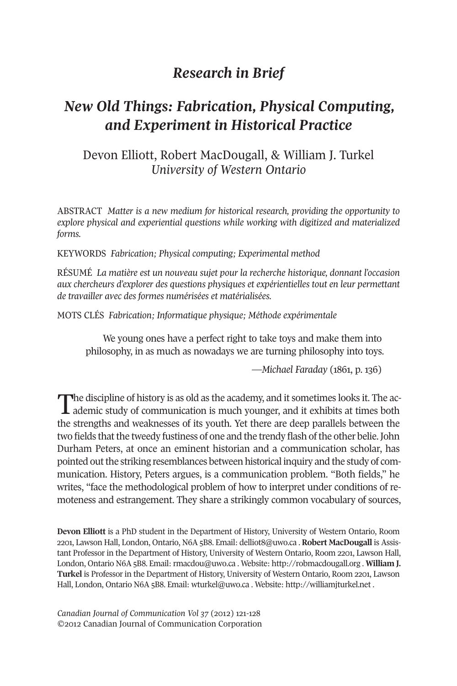# *Research in Brief*

# *New Old Things: Fabrication, Physical Computing, and Experiment in Historical Practice*

## Devon Elliott, Robert MacDougall, & William J. Turkel *University of Western Ontario*

AbsTRAcT *Matter is a new medium for historical research, providing the opportunity to explore physical and experiential questions while working with digitized and materialized forms.*

KEyWoRDs *Fabrication; Physical computing; Experimental method*

RésuMé *La matière est un nouveau sujet pour la recherche historique, donnant l'occasion aux chercheurs d'explorer des questions physiques et expérientielles tout en leur permettant de travailler avec des formes numérisées et matérialisées.*

MoTs cLés *Fabrication; Informatique physique; Méthode expérimentale*

We young ones have a perfect right to take toys and make them into philosophy, in as much as nowadays we are turning philosophy into toys.

*—Michael Faraday* (1861, p. 136)

The discipline of history is as old as the academy, and it sometimes looks it. The ac-ademic study of communication is much younger, and it exhibits at times both the strengths and weaknesses of its youth. yet there are deep parallels between the two fields that the tweedy fustiness of one and the trendy flash of the other belie. John Durham Peters, at once an eminent historian and a communication scholar, has pointed out the striking resemblances between historical inquiry and the study of communication. History, Peters argues, is a communication problem. "both fields," he writes, "face the methodological problem of how to interpret under conditions of remoteness and estrangement. They share a strikingly common vocabulary of sources,

**Devon Elliott** is a PhD student in the Department of History, university of Western ontario, Room 2201, Lawson Hall, London, ontario, N6A 5b8. Email: [delliot8@uwo.ca](mailto:delliot8@uwo.ca) . **Robert MacDougall** is Assistant Professor in the Department of History, university of Western ontario, Room 2201, Lawson Hall, London, ontario N6A 5b8. Email: [rmacdou@uwo.ca](mailto:rmacdou@uwo.ca) . Website: <http://robmacdougall.org> . **William J. Turkel** is Professor in the Department of History, university of Western ontario, Room 2201, Lawson Hall, London, ontario N6A 5b8. Email: <wturkel@uwo.ca> . Website: <http://williamjturkel.net> .

*Canadian Journal of Communication Vol 37* (2012) 121-128 ©2012 canadian Journal of communication corporation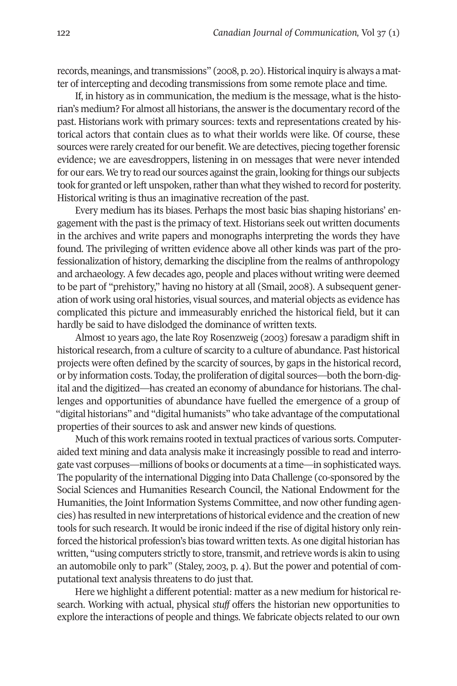records, meanings, and transmissions" (2008, p. 20). Historical inquiry is always a matter of intercepting and decoding transmissions from some remote place and time.

If, in history as in communication, the medium is the message, what is the historian's medium? For almost all historians, the answeris the documentary record of the past. Historians work with primary sources: texts and representations created by historical actors that contain clues as to what their worlds were like. of course, these sources were rarely created for our benefit. We are detectives, piecing together forensic evidence; we are eavesdroppers, listening in on messages that were never intended for our ears. We try to read our sources against the grain, looking for things our subjects took for granted or left unspoken, rather than what they wished to record for posterity. Historical writing is thus an imaginative recreation of the past.

Every medium has its biases. Perhaps the most basic bias shaping historians' engagement with the past is the primacy of text. Historians seek out written documents in the archives and write papers and monographs interpreting the words they have found. The privileging of written evidence above all other kinds was part of the professionalization of history, demarking the discipline from the realms of anthropology and archaeology. A few decades ago, people and places without writing were deemed to be part of "prehistory," having no history at all (smail, 2008). A subsequent generation of work using oral histories, visual sources, and material objects as evidence has complicated this picture and immeasurably enriched the historical field, but it can hardly be said to have dislodged the dominance of written texts.

Almost 10 years ago, the late Roy Rosenzweig (2003) foresaw a paradigm shift in historical research, from a culture of scarcity to a culture of abundance. Past historical projects were often defined by the scarcity of sources, by gaps in the historical record, or by information costs. Today, the proliferation of digital sources—both the born-digital and the digitized—has created an economy of abundance for historians. The challenges and opportunities of abundance have fuelled the emergence of a group of "digital historians" and "digital humanists" who take advantage of the computational properties of their sources to ask and answer new kinds of questions.

Much of this work remains rooted in textual practices of various sorts. computeraided text mining and data analysis make it increasingly possible to read and interrogate vast corpuses—millions of books or documents at a time—in sophisticated ways. The popularity of the international Digging into Data challenge (co-sponsored by the social sciences and Humanities Research council, the National Endowment for the Humanities, the Joint Information systems committee, and now other funding agencies) has resulted in new interpretations of historical evidence and the creation of new tools for such research. It would be ironic indeed if the rise of digital history only reinforced the historical profession's bias toward written texts.As one digital historian has written, "using computers strictly to store, transmit, and retrieve words is akin to using an automobile only to park" (staley, 2003, p. 4). but the power and potential of computational text analysis threatens to do just that.

Here we highlight a different potential: matter as a new medium for historical research. Working with actual, physical *stuff* offers the historian new opportunities to explore the interactions of people and things. We fabricate objects related to our own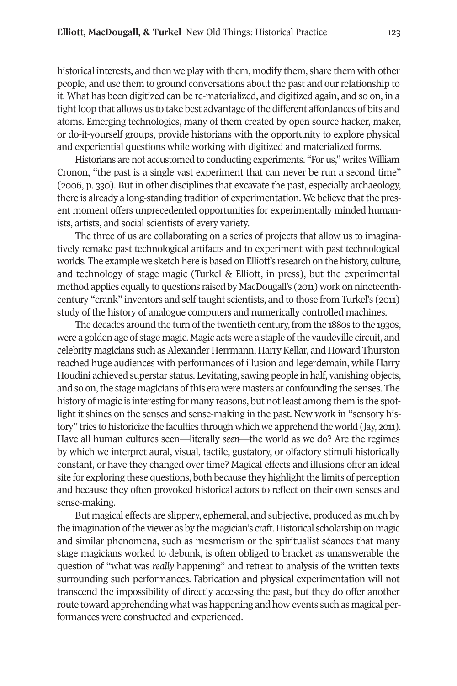historical interests, and then we play with them, modify them, share them with other people, and use them to ground conversations about the past and our relationship to it. What has been digitized can be re-materialized, and digitized again, and so on, in a tight loop that allows us to take best advantage of the different affordances of bits and atoms. Emerging technologies, many of them created by open source hacker, maker, or do-it-yourself groups, provide historians with the opportunity to explore physical and experiential questions while working with digitized and materialized forms.

Historians are not accustomed to conducting experiments. "For us," writes William cronon, "the past is a single vast experiment that can never be run a second time" (2006, p. 330). but in other disciplines that excavate the past, especially archaeology, there is already a long-standing tradition of experimentation. We believe that the present moment offers unprecedented opportunities for experimentally minded humanists, artists, and social scientists of every variety.

The three of us are collaborating on a series of projects that allow us to imaginatively remake past technological artifacts and to experiment with past technological worlds. The example we sketch here is based on Elliott's research on the history, culture, and technology of stage magic (Turkel & Elliott, in press), but the experimental method applies equally to questions raised by MacDougall's (2011) work on nineteenthcentury "crank" inventors and self-taught scientists, and to those from Turkel's (2011) study of the history of analogue computers and numerically controlled machines.

The decades around the turn of the twentieth century, from the 1880s to the 1930s, were a golden age of stage magic. Magic acts were a staple of the vaudeville circuit, and celebrity magicians such as Alexander Herrmann, Harry Kellar, and Howard Thurston reached huge audiences with performances of illusion and legerdemain, while Harry Houdini achieved superstar status. Levitating, sawing people in half, vanishing objects, and so on, the stage magicians of this era were masters at confounding the senses. The history of magic is interesting for many reasons, but not least among them is the spotlight it shines on the senses and sense-making in the past. New work in "sensory history" tries to historicize the faculties through which we apprehend the world (Jay, 2011). Have all human cultures seen—literally *seen*—the world as we do? Are the regimes by which we interpret aural, visual, tactile, gustatory, or olfactory stimuli historically constant, or have they changed over time? Magical effects and illusions offer an ideal site for exploring these questions, both because they highlightthe limits of perception and because they often provoked historical actors to reflect on their own senses and sense-making.

but magical effects are slippery, ephemeral, and subjective, produced as much by the imagination ofthe viewer as by the magician's craft. Historical scholarship on magic and similar phenomena, such as mesmerism or the spiritualist séances that many stage magicians worked to debunk, is often obliged to bracket as unanswerable the question of "what was *really* happening" and retreat to analysis of the written texts surrounding such performances. Fabrication and physical experimentation will not transcend the impossibility of directly accessing the past, but they do offer another route toward apprehending what was happening and how events such as magical performances were constructed and experienced.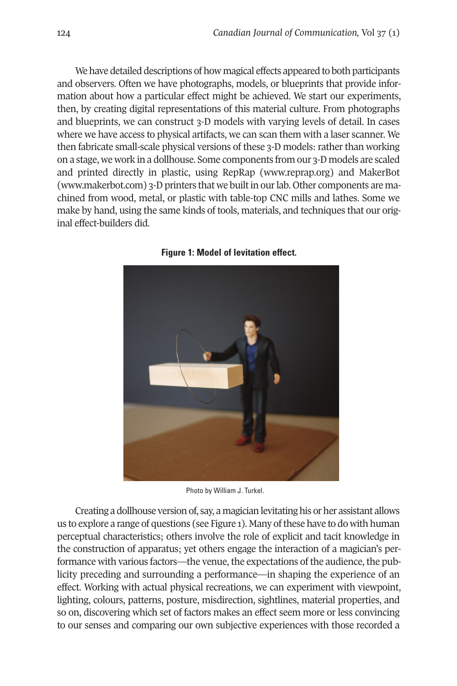We have detailed descriptions of how magical effects appeared to both participants and observers. often we have photographs, models, or blueprints that provide information about how a particular effect might be achieved. We start our experiments, then, by creating digital representations of this material culture. From photographs and blueprints, we can construct 3-D models with varying levels of detail. In cases where we have access to physical artifacts, we can scan them with a laser scanner. We then fabricate small-scale physical versions of these 3-D models: rather than working on a stage, we work in a dollhouse. some components from our 3-D models are scaled and printed directly in plastic, using RepRap (www.reprap.org) and Makerbot (www.makerbot.com) 3-D printers that we built in our lab. Other components are machined from wood, metal, or plastic with table-top cNc mills and lathes. some we make by hand, using the same kinds of tools, materials, and techniques that our original effect-builders did.



#### **Figure 1: Model of levitation effect.**

Photo by William J. Turkel.

creating a dollhouse version of, say, a magician levitating his or her assistant allows us to explore a range of questions (see Figure 1). Many of these have to do with human perceptual characteristics; others involve the role of explicit and tacit knowledge in the construction of apparatus; yet others engage the interaction of a magician's performance with various factors—the venue, the expectations of the audience, the publicity preceding and surrounding a performance—in shaping the experience of an effect. Working with actual physical recreations, we can experiment with viewpoint, lighting, colours, patterns, posture, misdirection, sightlines, material properties, and so on, discovering which set of factors makes an effect seem more or less convincing to our senses and comparing our own subjective experiences with those recorded a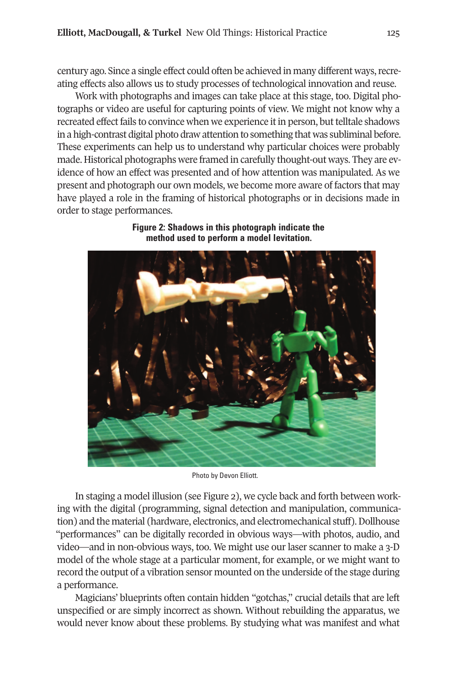century ago. Since a single effect could often be achieved in many different ways, recreating effects also allows us to study processes of technological innovation and reuse.

Work with photographs and images can take place at this stage, too. Digital photographs or video are useful for capturing points of view. We might not know why a recreated effect fails to convince when we experience it in person, but telltale shadows in a high-contrast digital photo draw attention to something that was subliminal before. These experiments can help us to understand why particular choices were probably made. Historical photographs were framed in carefully thought-out ways. They are evidence of how an effect was presented and of how attention was manipulated. As we present and photograph our own models, we become more aware of factors that may have played a role in the framing of historical photographs or in decisions made in order to stage performances.



**Figure 2: Shadows in this photograph indicate the method used to perform a model levitation.**

Photo by Devon Elliott.

In staging a model illusion (see Figure 2), we cycle back and forth between working with the digital (programming, signal detection and manipulation, communication) and the material (hardware, electronics, and electromechanical stuff). Dollhouse "performances" can be digitally recorded in obvious ways—with photos, audio, and video—and in non-obvious ways, too. We might use our laser scanner to make a 3-D model of the whole stage at a particular moment, for example, or we might want to record the output of a vibration sensor mounted on the underside of the stage during a performance.

Magicians' blueprints often contain hidden "gotchas," crucial details that are left unspecified or are simply incorrect as shown. Without rebuilding the apparatus, we would never know about these problems. by studying what was manifest and what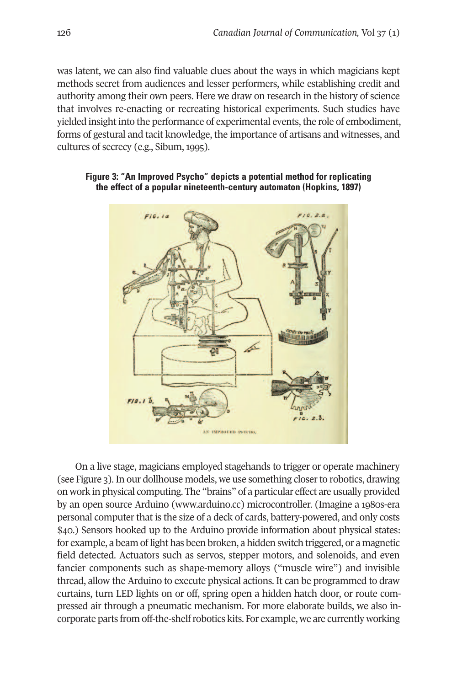was latent, we can also find valuable clues about the ways in which magicians kept methods secret from audiences and lesser performers, while establishing credit and authority among their own peers. Here we draw on research in the history of science that involves re-enacting or recreating historical experiments. such studies have yielded insight into the performance of experimental events, the role of embodiment, forms of gestural and tacit knowledge, the importance of artisans and witnesses, and cultures of secrecy (e.g., sibum, 1995).



### **Figure 3: "An Improved Psycho" depicts a potential method for replicating the effect of a popular nineteenth-century automaton (Hopkins, 1897)**

on a live stage, magicians employed stagehands to trigger or operate machinery (see Figure 3). In our dollhouse models, we use something closerto robotics, drawing on work in physical computing. The "brains" of a particular effect are usually provided by an open source Arduino (www.arduino.cc) microcontroller. (Imagine a 1980s-era personal computer that is the size of a deck of cards, battery-powered, and only costs \$40.) sensors hooked up to the Arduino provide information about physical states: for example, a beam of light has been broken, a hidden switch triggered, or a magnetic field detected. Actuators such as servos, stepper motors, and solenoids, and even fancier components such as shape-memory alloys ("muscle wire") and invisible thread, allow the Arduino to execute physical actions. It can be programmed to draw curtains, turn LED lights on or off, spring open a hidden hatch door, or route compressed air through a pneumatic mechanism. For more elaborate builds, we also incorporate parts from off-the-shelfrobotics kits. For example, we are currently working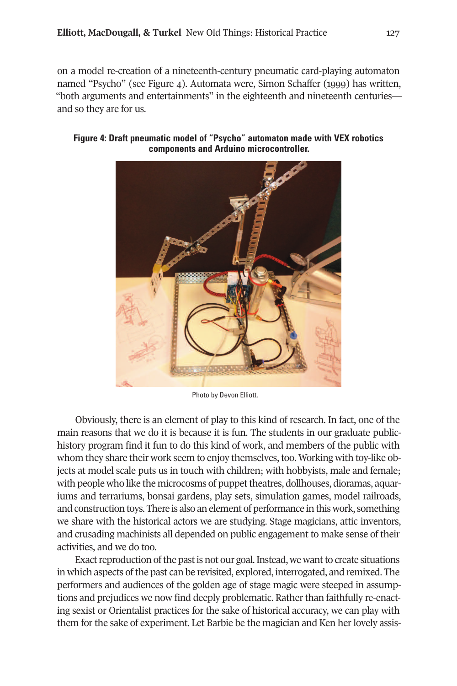on a model re-creation of a nineteenth-century pneumatic card-playing automaton named "Psycho" (see Figure 4). Automata were, simon schaffer (1999) has written, "both arguments and entertainments" in the eighteenth and nineteenth centuries and so they are for us.



### **Figure 4: Draft pneumatic model of "Psycho" automaton made with VEX robotics components and Arduino microcontroller.**

Photo by Devon Elliott.

obviously, there is an element of play to this kind of research. In fact, one of the main reasons that we do it is because it is fun. The students in our graduate publichistory program find it fun to do this kind of work, and members of the public with whom they share their work seem to enjoy themselves, too. Working with toy-like objects at model scale puts us in touch with children; with hobbyists, male and female; with people who like the microcosms of puppet theatres, dollhouses, dioramas, aquariums and terrariums, bonsai gardens, play sets, simulation games, model railroads, and construction toys. There is also an element of performance in this work, something we share with the historical actors we are studying. stage magicians, attic inventors, and crusading machinists all depended on public engagement to make sense of their activities, and we do too.

Exact reproduction of the past is not our goal. Instead, we want to create situations in which aspects ofthe past can be revisited, explored, interrogated, and remixed. The performers and audiences of the golden age of stage magic were steeped in assumptions and prejudices we now find deeply problematic. Rather than faithfully re-enacting sexist or orientalist practices for the sake of historical accuracy, we can play with them for the sake of experiment. Let barbie be the magician and Ken her lovely assis